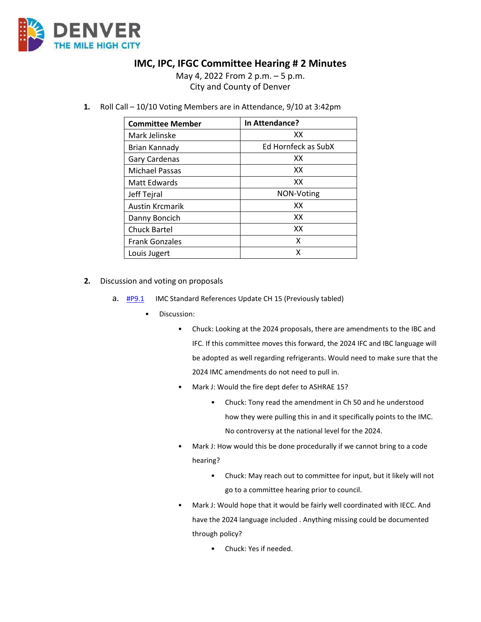

## **IMC, IPC, IFGC Committee Hearing # 2 Minutes**

May 4, 2022 From 2 p.m. – 5 p.m. City and County of Denver

**1.** Roll Call – 10/10 Voting Members are in Attendance, 9/10 at 3:42pm

| <b>Committee Member</b> | In Attendance?      |
|-------------------------|---------------------|
| Mark Jelinske           | XX                  |
| <b>Brian Kannady</b>    | Ed Hornfeck as SubX |
| Gary Cardenas           | XX                  |
| <b>Michael Passas</b>   | XX                  |
| Matt Edwards            | XX                  |
| Jeff Tejral             | NON-Voting          |
| <b>Austin Krcmarik</b>  | XX                  |
| Danny Boncich           | XX                  |
| <b>Chuck Bartel</b>     | XX                  |
| <b>Frank Gonzales</b>   | x                   |
| Louis Jugert            | X                   |

- **2.** Discussion and voting on proposals
	- a. **[#P9.1](https://www.denvergov.org/files/assets/public/community-planning-and-development/documents/ds/building-codes/code-adoption/amendment-proposals/imc/imc_updatedchapter15.pdf)** IMC Standard References Update CH 15 (Previously tabled)
		- Discussion:
			- Chuck: Looking at the 2024 proposals, there are amendments to the IBC and IFC. If this committee moves this forward, the 2024 IFC and IBC language will be adopted as well regarding refrigerants. Would need to make sure that the 2024 IMC amendments do not need to pull in.
			- Mark J: Would the fire dept defer to ASHRAE 15?
				- Chuck: Tony read the amendment in Ch 50 and he understood how they were pulling this in and it specifically points to the IMC. No controversy at the national level for the 2024.
			- Mark J: How would this be done procedurally if we cannot bring to a code hearing?
				- Chuck: May reach out to committee for input, but it likely will not go to a committee hearing prior to council.
			- Mark J: Would hope that it would be fairly well coordinated with IECC. And have the 2024 language included . Anything missing could be documented through policy?
				- Chuck: Yes if needed.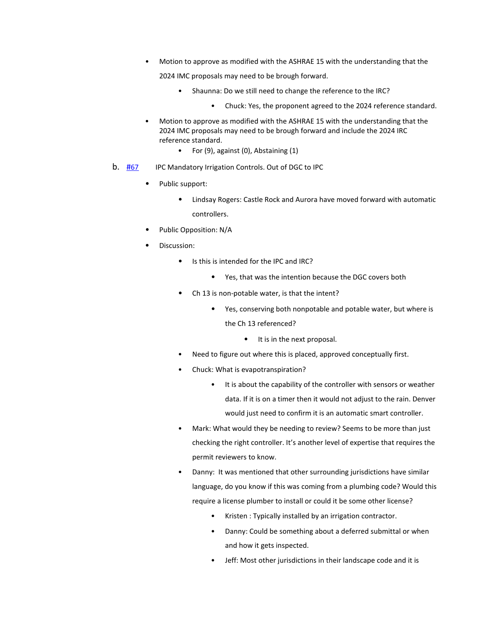• Motion to approve as modified with the ASHRAE 15 with the understanding that the

2024 IMC proposals may need to be brough forward.

- Shaunna: Do we still need to change the reference to the IRC?
	- Chuck: Yes, the proponent agreed to the 2024 reference standard.
- Motion to approve as modified with the ASHRAE 15 with the understanding that the 2024 IMC proposals may need to be brough forward and include the 2024 IRC reference standard.
	- For (9), against (0), Abstaining (1)
- **b.** [#67](https://www.denvergov.org/files/assets/public/community-planning-and-development/documents/ds/building-codes/code-adoption/amendment-proposals/ipc/ipc_mandatory-irrigation-controls.pdf) IPC Mandatory Irrigation Controls. Out of DGC to IPC
	- Public support:
		- Lindsay Rogers: Castle Rock and Aurora have moved forward with automatic controllers.
	- Public Opposition: N/A
	- Discussion:
		- Is this is intended for the IPC and IRC?
			- Yes, that was the intention because the DGC covers both
		- Ch 13 is non-potable water, is that the intent?
			- Yes, conserving both nonpotable and potable water, but where is the Ch 13 referenced?
				- It is in the next proposal.
		- Need to figure out where this is placed, approved conceptually first.
		- Chuck: What is evapotranspiration?
			- It is about the capability of the controller with sensors or weather data. If it is on a timer then it would not adjust to the rain. Denver would just need to confirm it is an automatic smart controller.
		- Mark: What would they be needing to review? Seems to be more than just checking the right controller. It's another level of expertise that requires the permit reviewers to know.
		- Danny: It was mentioned that other surrounding jurisdictions have similar language, do you know if this was coming from a plumbing code? Would this require a license plumber to install or could it be some other license?
			- Kristen : Typically installed by an irrigation contractor.
			- Danny: Could be something about a deferred submittal or when and how it gets inspected.
			- Jeff: Most other jurisdictions in their landscape code and it is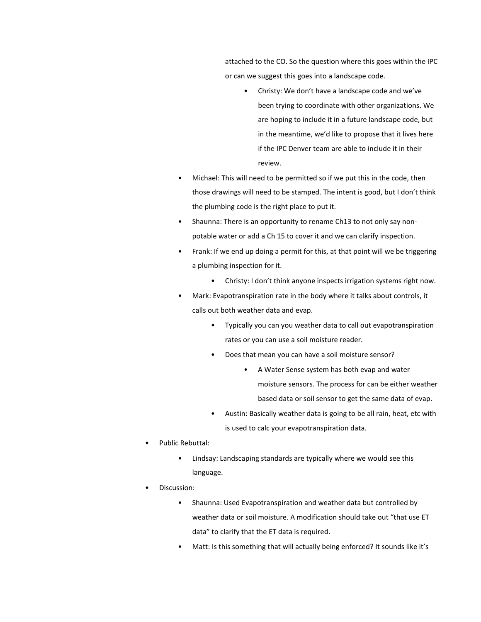attached to the CO. So the question where this goes within the IPC or can we suggest this goes into a landscape code.

- Christy: We don't have a landscape code and we've been trying to coordinate with other organizations. We are hoping to include it in a future landscape code, but in the meantime, we'd like to propose that it lives here if the IPC Denver team are able to include it in their review.
- Michael: This will need to be permitted so if we put this in the code, then those drawings will need to be stamped. The intent is good, but I don't think the plumbing code is the right place to put it.
- Shaunna: There is an opportunity to rename Ch13 to not only say nonpotable water or add a Ch 15 to cover it and we can clarify inspection.
- Frank: If we end up doing a permit for this, at that point will we be triggering a plumbing inspection for it.
	- Christy: I don't think anyone inspects irrigation systems right now.
- Mark: Evapotranspiration rate in the body where it talks about controls, it calls out both weather data and evap.
	- Typically you can you weather data to call out evapotranspiration rates or you can use a soil moisture reader.
	- Does that mean you can have a soil moisture sensor?
		- A Water Sense system has both evap and water moisture sensors. The process for can be either weather based data or soil sensor to get the same data of evap.
	- Austin: Basically weather data is going to be all rain, heat, etc with is used to calc your evapotranspiration data.
- Public Rebuttal:
	- Lindsay: Landscaping standards are typically where we would see this language.
- Discussion:
	- Shaunna: Used Evapotranspiration and weather data but controlled by weather data or soil moisture. A modification should take out "that use ET data" to clarify that the ET data is required.
	- Matt: Is this something that will actually being enforced? It sounds like it's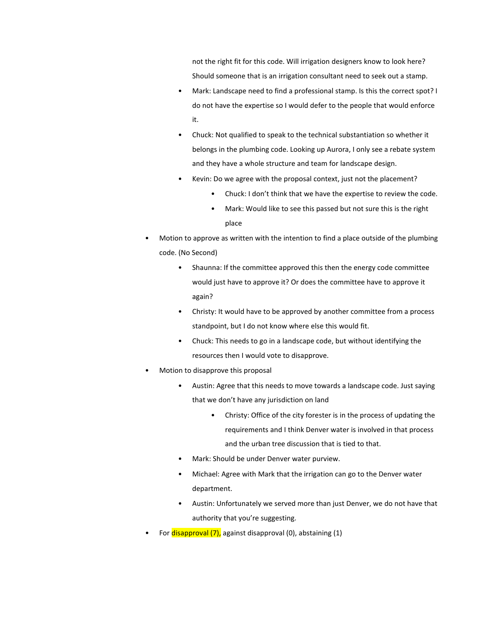not the right fit for this code. Will irrigation designers know to look here? Should someone that is an irrigation consultant need to seek out a stamp.

- Mark: Landscape need to find a professional stamp. Is this the correct spot? I do not have the expertise so I would defer to the people that would enforce it.
- Chuck: Not qualified to speak to the technical substantiation so whether it belongs in the plumbing code. Looking up Aurora, I only see a rebate system and they have a whole structure and team for landscape design.
- Kevin: Do we agree with the proposal context, just not the placement?
	- Chuck: I don't think that we have the expertise to review the code.
	- Mark: Would like to see this passed but not sure this is the right place
- Motion to approve as written with the intention to find a place outside of the plumbing code. (No Second)
	- Shaunna: If the committee approved this then the energy code committee would just have to approve it? Or does the committee have to approve it again?
	- Christy: It would have to be approved by another committee from a process standpoint, but I do not know where else this would fit.
	- Chuck: This needs to go in a landscape code, but without identifying the resources then I would vote to disapprove.
- Motion to disapprove this proposal
	- Austin: Agree that this needs to move towards a landscape code. Just saying that we don't have any jurisdiction on land
		- Christy: Office of the city forester is in the process of updating the requirements and I think Denver water is involved in that process and the urban tree discussion that is tied to that.
	- Mark: Should be under Denver water purview.
	- Michael: Agree with Mark that the irrigation can go to the Denver water department.
	- Austin: Unfortunately we served more than just Denver, we do not have that authority that you're suggesting.
- For disapproval (7), against disapproval (0), abstaining (1)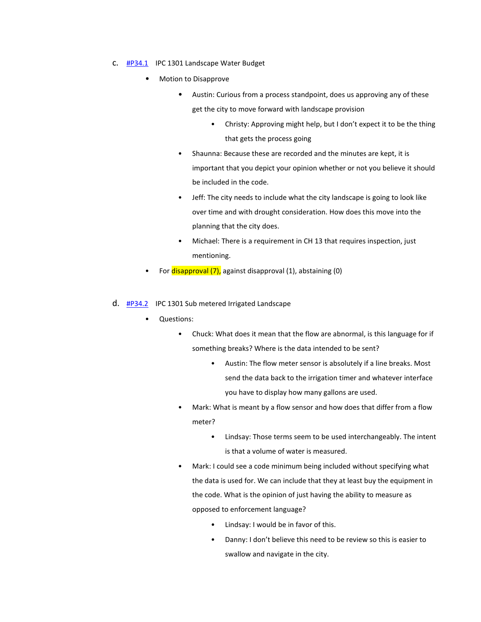- C. **[#P34.1](https://www.denvergov.org/files/assets/public/community-planning-and-development/documents/ds/building-codes/code-adoption/amendment-proposals/ipc/ipc_landscape-water-budget.pdf)** IPC 1301 Landscape Water Budget
	- Motion to Disapprove
		- Austin: Curious from a process standpoint, does us approving any of these get the city to move forward with landscape provision
			- Christy: Approving might help, but I don't expect it to be the thing that gets the process going
		- Shaunna: Because these are recorded and the minutes are kept, it is important that you depict your opinion whether or not you believe it should be included in the code.
		- Jeff: The city needs to include what the city landscape is going to look like over time and with drought consideration. How does this move into the planning that the city does.
		- Michael: There is a requirement in CH 13 that requires inspection, just mentioning.
	- For disapproval (7), against disapproval (1), abstaining (0)

## d. [#P34.2](https://www.denvergov.org/files/assets/public/community-planning-and-development/documents/ds/building-codes/code-adoption/amendment-proposals/ipc/ipc_sub-metered-irrigated-landscape-thresholds.pdf) IPC 1301 Sub metered Irrigated Landscape

- Questions:
	- Chuck: What does it mean that the flow are abnormal, is this language for if something breaks? Where is the data intended to be sent?
		- Austin: The flow meter sensor is absolutely if a line breaks. Most send the data back to the irrigation timer and whatever interface you have to display how many gallons are used.
	- Mark: What is meant by a flow sensor and how does that differ from a flow meter?
		- Lindsay: Those terms seem to be used interchangeably. The intent is that a volume of water is measured.
	- Mark: I could see a code minimum being included without specifying what the data is used for. We can include that they at least buy the equipment in the code. What is the opinion of just having the ability to measure as opposed to enforcement language?
		- Lindsay: I would be in favor of this.
		- Danny: I don't believe this need to be review so this is easier to swallow and navigate in the city.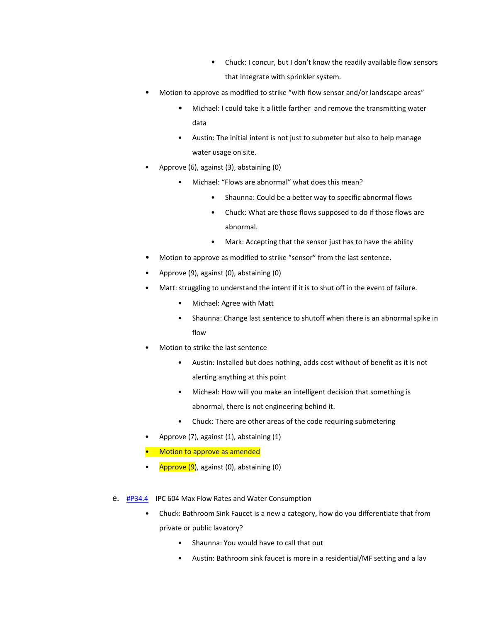- Chuck: I concur, but I don't know the readily available flow sensors that integrate with sprinkler system.
- Motion to approve as modified to strike "with flow sensor and/or landscape areas"
	- Michael: I could take it a little farther and remove the transmitting water data
	- Austin: The initial intent is not just to submeter but also to help manage water usage on site.
- Approve (6), against (3), abstaining (0)
	- Michael: "Flows are abnormal" what does this mean?
		- Shaunna: Could be a better way to specific abnormal flows
		- Chuck: What are those flows supposed to do if those flows are abnormal.
		- Mark: Accepting that the sensor just has to have the ability
- Motion to approve as modified to strike "sensor" from the last sentence.
- Approve (9), against (0), abstaining (0)
- Matt: struggling to understand the intent if it is to shut off in the event of failure.
	- Michael: Agree with Matt
	- Shaunna: Change last sentence to shutoff when there is an abnormal spike in flow
- Motion to strike the last sentence
	- Austin: Installed but does nothing, adds cost without of benefit as it is not alerting anything at this point
	- Micheal: How will you make an intelligent decision that something is abnormal, there is not engineering behind it.
	- Chuck: There are other areas of the code requiring submetering
- Approve (7), against (1), abstaining (1)
- Motion to approve as amended
- Approve  $(9)$ , against  $(0)$ , abstaining  $(0)$
- e. **[#P34.4](https://www.denvergov.org/files/assets/public/community-planning-and-development/documents/ds/building-codes/code-adoption/amendment-proposals/ipc/ipc_604.pdf)** IPC 604 Max Flow Rates and Water Consumption
	- Chuck: Bathroom Sink Faucet is a new a category, how do you differentiate that from private or public lavatory?
		- Shaunna: You would have to call that out
		- Austin: Bathroom sink faucet is more in a residential/MF setting and a lav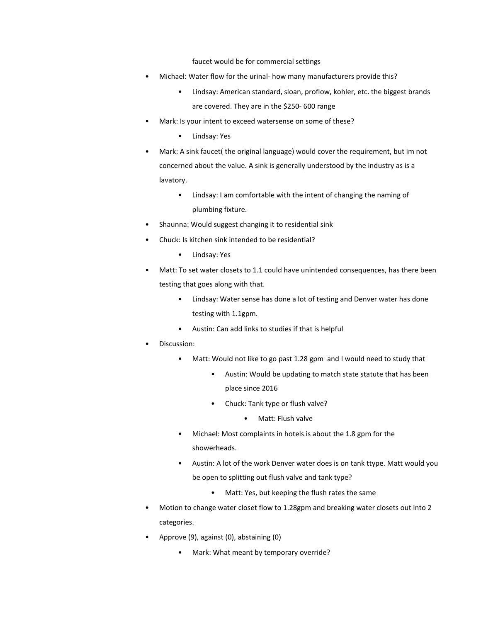faucet would be for commercial settings

- Michael: Water flow for the urinal- how many manufacturers provide this?
	- Lindsay: American standard, sloan, proflow, kohler, etc. the biggest brands are covered. They are in the \$250- 600 range
- Mark: Is your intent to exceed watersense on some of these?
	- Lindsay: Yes
- Mark: A sink faucet( the original language) would cover the requirement, but im not concerned about the value. A sink is generally understood by the industry as is a lavatory.
	- Lindsay: I am comfortable with the intent of changing the naming of plumbing fixture.
- Shaunna: Would suggest changing it to residential sink
- Chuck: Is kitchen sink intended to be residential?
	- Lindsay: Yes
- Matt: To set water closets to 1.1 could have unintended consequences, has there been testing that goes along with that.
	- Lindsay: Water sense has done a lot of testing and Denver water has done testing with 1.1gpm.
	- Austin: Can add links to studies if that is helpful
- Discussion:
	- Matt: Would not like to go past 1.28 gpm and I would need to study that
		- Austin: Would be updating to match state statute that has been place since 2016
		- Chuck: Tank type or flush valve?
			- Matt: Flush valve
	- Michael: Most complaints in hotels is about the 1.8 gpm for the showerheads.
	- Austin: A lot of the work Denver water does is on tank ttype. Matt would you be open to splitting out flush valve and tank type?
		- Matt: Yes, but keeping the flush rates the same
- Motion to change water closet flow to 1.28gpm and breaking water closets out into 2 categories.
- Approve (9), against (0), abstaining (0)
	- Mark: What meant by temporary override?